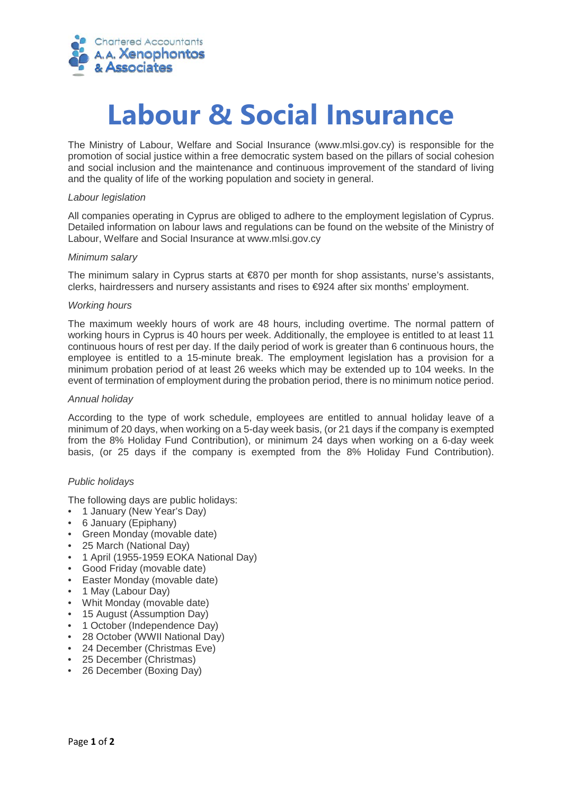

# **Labour & Social Insurance**

The Ministry of Labour, Welfare and Social Insurance (www.mlsi.gov.cy) is responsible for the promotion of social justice within a free democratic system based on the pillars of social cohesion and social inclusion and the maintenance and continuous improvement of the standard of living and the quality of life of the working population and society in general.

#### *Labour legislation*

All companies operating in Cyprus are obliged to adhere to the employment legislation of Cyprus. Detailed information on labour laws and regulations can be found on the website of the Ministry of Labour, Welfare and Social Insurance at www.mlsi.gov.cy

### *Minimum salary*

The minimum salary in Cyprus starts at €870 per month for shop assistants, nurse's assistants, clerks, hairdressers and nursery assistants and rises to €924 after six months' employment.

### *Working hours*

The maximum weekly hours of work are 48 hours, including overtime. The normal pattern of working hours in Cyprus is 40 hours per week. Additionally, the employee is entitled to at least 11 continuous hours of rest per day. If the daily period of work is greater than 6 continuous hours, the employee is entitled to a 15-minute break. The employment legislation has a provision for a minimum probation period of at least 26 weeks which may be extended up to 104 weeks. In the event of termination of employment during the probation period, there is no minimum notice period.

#### *Annual holiday*

According to the type of work schedule, employees are entitled to annual holiday leave of a minimum of 20 days, when working on a 5-day week basis, (or 21 days if the company is exempted from the 8% Holiday Fund Contribution), or minimum 24 days when working on a 6-day week basis, (or 25 days if the company is exempted from the 8% Holiday Fund Contribution).

# *Public holidays*

The following days are public holidays:

- 1 January (New Year's Day)
- 6 January (Epiphany)
- Green Monday (movable date)
- 25 March (National Day)
- 1 April (1955-1959 EOKA National Day)
- Good Friday (movable date)
- Easter Monday (movable date)
- 1 May (Labour Day)
- Whit Monday (movable date)
- 15 August (Assumption Day)
- 1 October (Independence Day)
- 28 October (WWII National Day)
- 24 December (Christmas Eve)
- 25 December (Christmas)
- 26 December (Boxing Day)